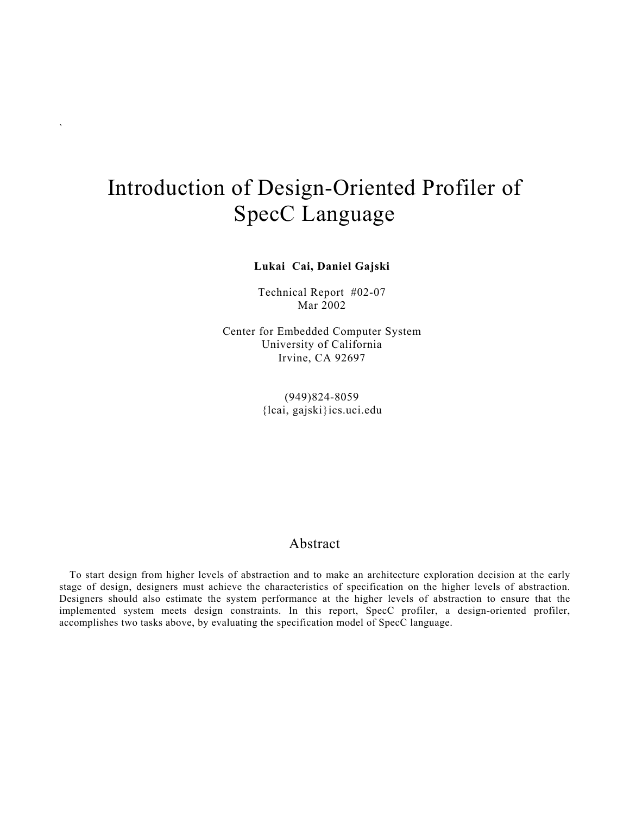# Introduction of Design-Oriented Profiler of SpecC Language

`

**Lukai Cai, Daniel Gajski**

Technical Report #02-07 Mar 2002

Center for Embedded Computer System University of California Irvine, CA 92697

> (949)824-8059 {lcai, gajski}ics.uci.edu

## Abstract

To start design from higher levels of abstraction and to make an architecture exploration decision at the early stage of design, designers must achieve the characteristics of specification on the higher levels of abstraction. Designers should also estimate the system performance at the higher levels of abstraction to ensure that the implemented system meets design constraints. In this report, SpecC profiler, a design-oriented profiler, accomplishes two tasks above, by evaluating the specification model of SpecC language.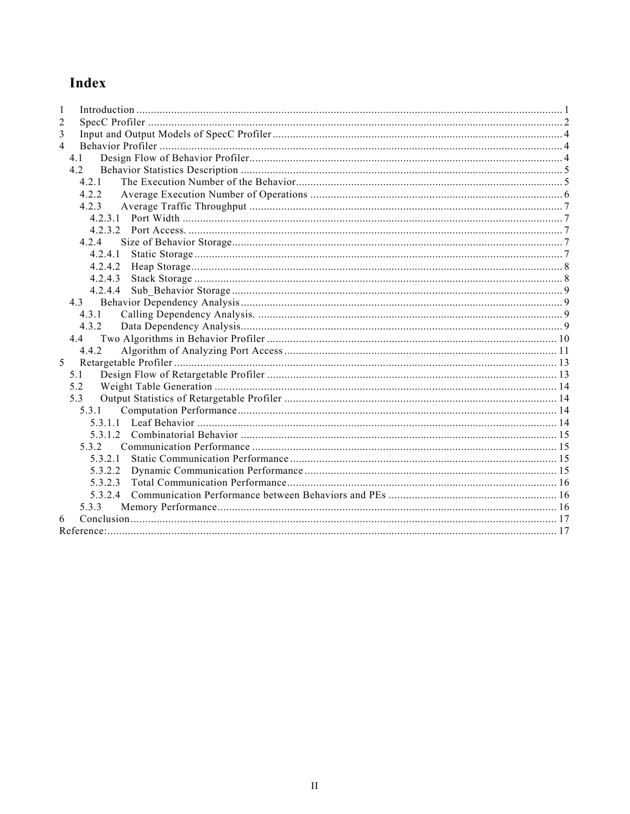## Index

| 1              |  |
|----------------|--|
| 2              |  |
| 3              |  |
| $\overline{4}$ |  |
| 4 1            |  |
| 4.2            |  |
| 4.2.1          |  |
| 4 2 2          |  |
| 4.2.3          |  |
|                |  |
|                |  |
| 4.2.4          |  |
|                |  |
| 4.2.4.2        |  |
| 4.2.4.3        |  |
| 4.2.4.4        |  |
|                |  |
| 4.3.1          |  |
| 4.3.2          |  |
| 4.4            |  |
| 4.4.2          |  |
| 5              |  |
| 5.1            |  |
| 5.2            |  |
| 5.3            |  |
| 531            |  |
|                |  |
|                |  |
| 5.3.2          |  |
| 5321           |  |
| 5.3.2.2        |  |
| 5.3.2.3        |  |
|                |  |
| 5.3.3          |  |
| 6              |  |
|                |  |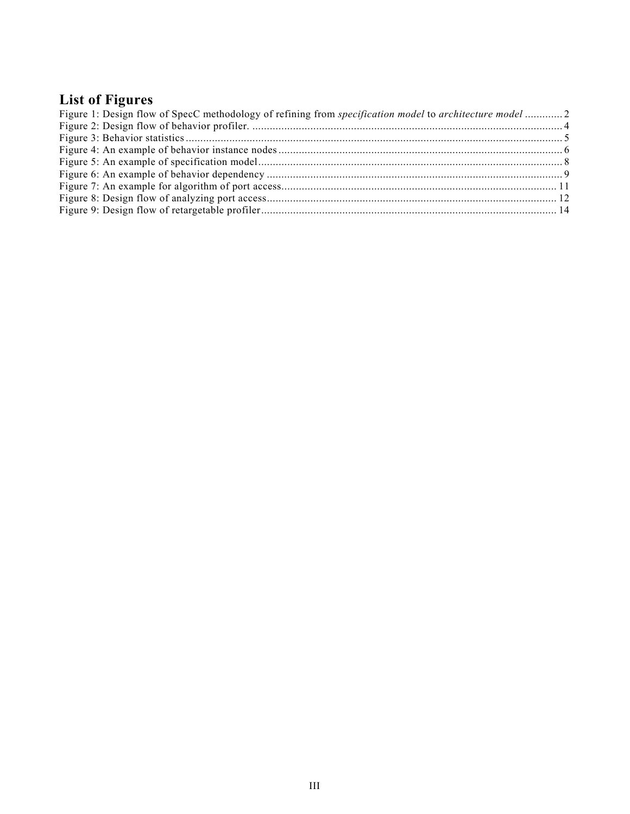## **List of Figures**

| Figure 1: Design flow of SpecC methodology of refining from <i>specification model</i> to <i>architecture model</i> 2 |  |
|-----------------------------------------------------------------------------------------------------------------------|--|
|                                                                                                                       |  |
|                                                                                                                       |  |
|                                                                                                                       |  |
|                                                                                                                       |  |
|                                                                                                                       |  |
|                                                                                                                       |  |
|                                                                                                                       |  |
|                                                                                                                       |  |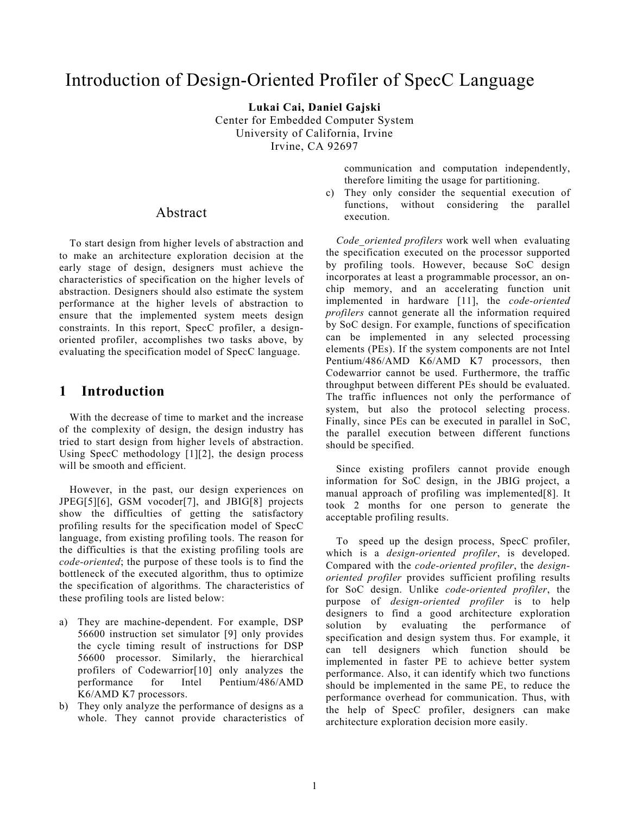## Introduction of Design-Oriented Profiler of SpecC Language

**Lukai Cai, Daniel Gajski** Center for Embedded Computer System University of California, Irvine Irvine, CA 92697

> communication and computation independently, therefore limiting the usage for partitioning.

c) They only consider the sequential execution of functions, without considering the parallel execution.

*Code\_oriented profilers* work well when evaluating the specification executed on the processor supported by profiling tools. However, because SoC design incorporates at least a programmable processor, an onchip memory, and an accelerating function unit implemented in hardware [11], the *code-oriented profilers* cannot generate all the information required by SoC design. For example, functions of specification can be implemented in any selected processing elements (PEs). If the system components are not Intel Pentium/486/AMD K6/AMD K7 processors, then Codewarrior cannot be used. Furthermore, the traffic throughput between different PEs should be evaluated. The traffic influences not only the performance of system, but also the protocol selecting process. Finally, since PEs can be executed in parallel in SoC, the parallel execution between different functions should be specified.

Since existing profilers cannot provide enough information for SoC design, in the JBIG project, a manual approach of profiling was implemented[\[8\].](#page-19-2) It took 2 months for one person to generate the acceptable profiling results.

To speed up the design process, SpecC profiler, which is a *design-oriented profiler*, is developed. Compared with the *code-oriented profiler*, the *designoriented profiler* provides sufficient profiling results for SoC design. Unlike *code-oriented profiler*, the purpose of *design-oriented profiler* is to help designers to find a good architecture exploration solution by evaluating the performance of specification and design system thus. For example, it can tell designers which function should be implemented in faster PE to achieve better system performance. Also, it can identify which two functions should be implemented in the same PE, to reduce the performance overhead for communication. Thus, with the help of SpecC profiler, designers can make architecture exploration decision more easily.

## Abstract

To start design from higher levels of abstraction and to make an architecture exploration decision at the early stage of design, designers must achieve the characteristics of specification on the higher levels of abstraction. Designers should also estimate the system performance at the higher levels of abstraction to ensure that the implemented system meets design constraints. In this report, SpecC profiler, a designoriented profiler, accomplishes two tasks above, by evaluating the specification model of SpecC language.

## <span id="page-3-0"></span>**1 Introduction**

With the decrease of time to market and the increase of the complexity of design, the design industry has tried to start design from higher levels of abstraction. Using SpecC methodology [1][2], the design process will be smooth and efficient.

However, in the past, our design experiences on JPEG[5][6], GSM vocoder[7], and JBIG[8] projects show the difficulties of getting the satisfactory profiling results for the specification model of SpecC language, from existing profiling tools. The reason for the difficulties is that the existing profiling tools are *code-oriented*; the purpose of these tools is to find the bottleneck of the executed algorithm, thus to optimize the specification of algorithms. The characteristics of these profiling tools are listed below:

- a) They are machine-dependent. For example, DSP 56600 instruction set simulator [9] only provides the cycle timing result of instructions for DSP 56600 processor. Similarly, the hierarchical profilers of Codewarrior[10] only analyzes the performance for Intel Pentium/486/AMD K6/AMD K7 processors.
- b) They only analyze the performance of designs as a whole. They cannot provide characteristics of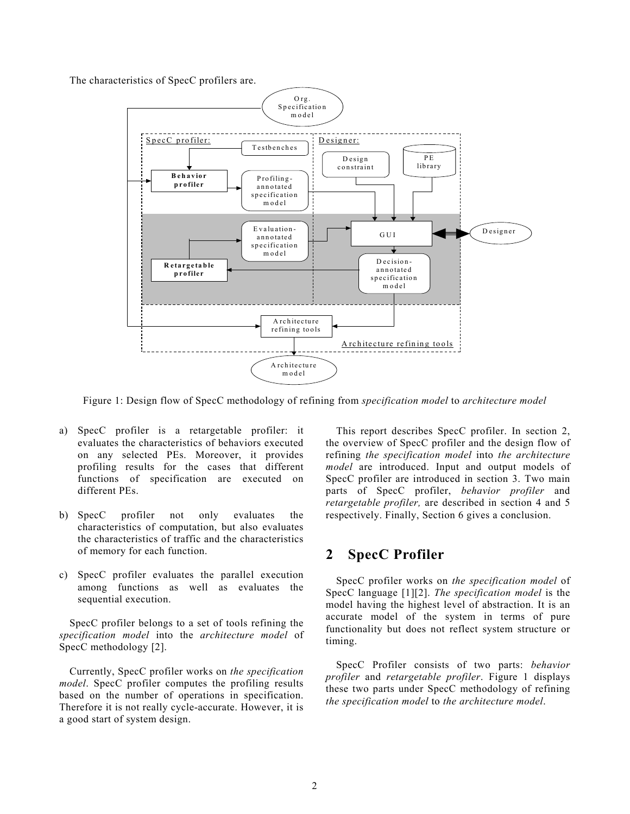<span id="page-4-1"></span>The characteristics of SpecC profilers are.



Figure 1: Design flow of SpecC methodology of refining from *specification model* to *architecture model*

- a) SpecC profiler is a retargetable profiler: it evaluates the characteristics of behaviors executed on any selected PEs. Moreover, it provides profiling results for the cases that different functions of specification are executed on different PEs.
- b) SpecC profiler not only evaluates the characteristics of computation, but also evaluates the characteristics of traffic and the characteristics of memory for each function.
- c) SpecC profiler evaluates the parallel execution among functions as well as evaluates the sequential execution.

SpecC profiler belongs to a set of tools refining the *specification model* into the *architecture model* of SpecC methodology [2].

Currently, SpecC profiler works on *the specification model*. SpecC profiler computes the profiling results based on the number of operations in specification. Therefore it is not really cycle-accurate. However, it is a good start of system design.

This report describes SpecC profiler. In section 2, the overview of SpecC profiler and the design flow of refining *the specification model* into *the architecture model* are introduced. Input and output models of SpecC profiler are introduced in section 3. Two main parts of SpecC profiler, *behavior profiler* and *retargetable profiler,* are described in section 4 and 5 respectively. Finally, Section 6 gives a conclusion.

## <span id="page-4-0"></span>**2 SpecC Profiler**

SpecC profiler works on *the specification model* of SpecC language [1][2]. *The specification model* is the model having the highest level of abstraction. It is an accurate model of the system in terms of pure functionality but does not reflect system structure or timing.

SpecC Profiler consists of two parts: *behavior profiler* and *retargetable profiler*. Figure 1 displays these two parts under SpecC methodology of refining *the specification model* to *the architecture model*.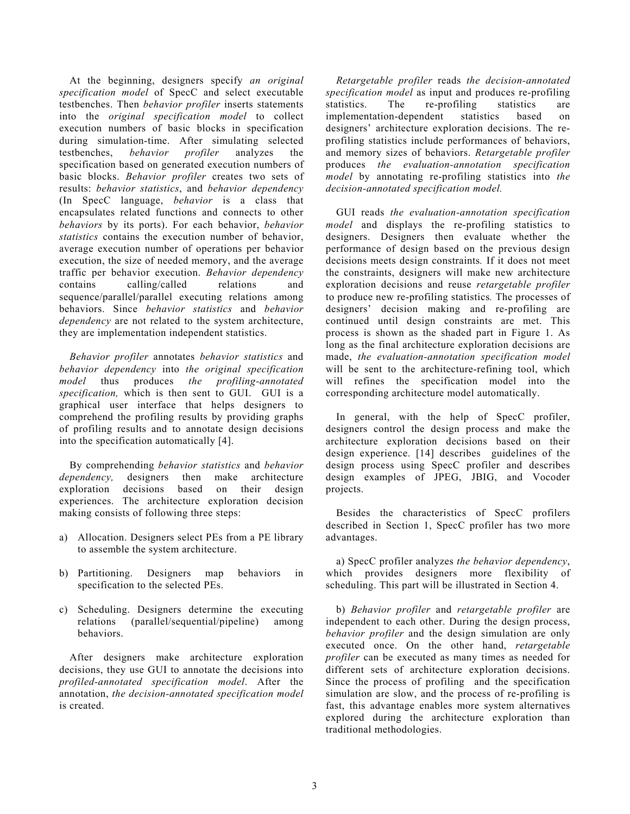At the beginning, designers specify *an original specification model* of SpecC and select executable testbenches. Then *behavior profiler* inserts statements into the *original specification model* to collect execution numbers of basic blocks in specification during simulation-time. After simulating selected testbenches, *behavior profiler* analyzes the specification based on generated execution numbers of basic blocks. *Behavior profiler* creates two sets of results: *behavior statistics*, and *behavior dependency* (In SpecC language, *behavior* is a class that encapsulates related functions and connects to other *behaviors* by its ports). For each behavior, *behavior statistics* contains the execution number of behavior, average execution number of operations per behavior execution, the size of needed memory, and the average traffic per behavior execution. *Behavior dependency* contains calling/called relations and sequence/parallel/parallel executing relations among behaviors. Since *behavior statistics* and *behavior dependency* are not related to the system architecture, they are implementation independent statistics.

*Behavior profiler* annotates *behavior statistics* and *behavior dependency* into *the original specification model* thus produces *the profiling-annotated specification,* which is then sent to GUI. GUI is a graphical user interface that helps designers to comprehend the profiling results by providing graphs of profiling results and to annotate design decisions into the specification automatically [4].

By comprehending *behavior statistics* and *behavior dependency,* designers then make architecture exploration decisions based on their design experiences. The architecture exploration decision making consists of following three steps:

- a) Allocation. Designers select PEs from a PE library to assemble the system architecture.
- b) Partitioning. Designers map behaviors in specification to the selected PEs.
- c) Scheduling. Designers determine the executing relations (parallel/sequential/pipeline) among behaviors.

After designers make architecture exploration decisions, they use GUI to annotate the decisions into *profiled-annotated specification model*. After the annotation, *the decision-annotated specification model* is created.

*Retargetable profiler* reads *the decision-annotated specification model* as input and produces re-profiling statistics. The re-profiling statistics are implementation-dependent statistics based on designers' architecture exploration decisions. The reprofiling statistics include performances of behaviors, and memory sizes of behaviors. *Retargetable profiler* produces *the evaluation-annotation specification model* by annotating re-profiling statistics into *the decision-annotated specification model.*

GUI reads *the evaluation-annotation specification model* and displays the re-profiling statistics to designers. Designers then evaluate whether the performance of design based on the previous design decisions meets design constraints*.* If it does not meet the constraints, designers will make new architecture exploration decisions and reuse *retargetable profiler* to produce new re-profiling statistics*.* The processes of designers' decision making and re-profiling are continued until design constraints are met. This process is shown as the shaded part in [Figure 1.](#page-4-1) As long as the final architecture exploration decisions are made, *the evaluation-annotation specification model* will be sent to the architecture-refining tool, which will refines the specification model into the corresponding architecture model automatically.

In general, with the help of SpecC profiler, designers control the design process and make the architecture exploration decisions based on their design experience. [\[14\]](#page-19-3) describes guidelines of the design process using SpecC profiler and describes design examples of JPEG, JBIG, and Vocoder projects.

Besides the characteristics of SpecC profilers described in Section 1, SpecC profiler has two more advantages.

a) SpecC profiler analyzes *the behavior dependency*, which provides designers more flexibility of scheduling. This part will be illustrated in Section 4.

b) *Behavior profiler* and *retargetable profiler* are independent to each other. During the design process, *behavior profiler* and the design simulation are only executed once. On the other hand, *retargetable profiler* can be executed as many times as needed for different sets of architecture exploration decisions. Since the process of profiling and the specification simulation are slow, and the process of re-profiling is fast, this advantage enables more system alternatives explored during the architecture exploration than traditional methodologies.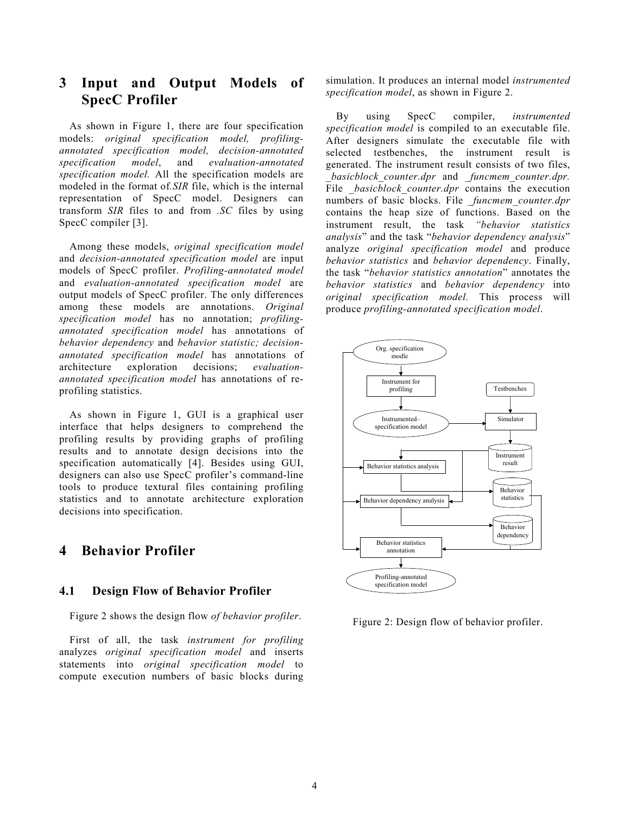## <span id="page-6-0"></span>**3 Input and Output Models of SpecC Profiler**

As shown in Figure 1, there are four specification models: *original specification model, profilingannotated specification model, decision-annotated specification model*, and *evaluation-annotated specification model.* All the specification models are modeled in the format of*.SIR* file, which is the internal representation of SpecC model. Designers can transform *SIR* files to and from *.SC* files by using SpecC compiler [3].

Among these models, *original specification model* and *decision-annotated specification model* are input models of SpecC profiler. *Profiling-annotated model* and *evaluation-annotated specification model* are output models of SpecC profiler. The only differences among these models are annotations. *Original specification model* has no annotation; *profilingannotated specification model* has annotations of *behavior dependency* and *behavior statistic; decisionannotated specification model* has annotations of architecture exploration decisions; *evaluationannotated specification model* has annotations of reprofiling statistics.

As shown in [Figure 1,](#page-4-1) GUI is a graphical user interface that helps designers to comprehend the profiling results by providing graphs of profiling results and to annotate design decisions into the specification automatically [4]. Besides using GUI, designers can also use SpecC profiler's command-line tools to produce textural files containing profiling statistics and to annotate architecture exploration decisions into specification.

## <span id="page-6-1"></span>**4 Behavior Profiler**

#### <span id="page-6-2"></span>**4.1 Design Flow of Behavior Profiler**

Figure 2 shows the design flow *of behavior profiler*.

First of all, the task *instrument for profiling* analyzes *original specification model* and inserts statements into *original specification model* to compute execution numbers of basic blocks during simulation. It produces an internal model *instrumented specification model*, as shown in [Figure 2.](#page-6-3)

By using SpecC compiler, *instrumented specification model* is compiled to an executable file. After designers simulate the executable file with selected testbenches, the instrument result is generated. The instrument result consists of two files, *\_basicblock\_counter.dpr* and *\_funcmem\_counter.dpr.* File *basicblock counter.dpr* contains the execution numbers of basic blocks. File *funcmem counter.dpr* contains the heap size of functions. Based on the instrument result, the task *"behavior statistics analysis*" and the task "*behavior dependency analysis*" analyze *original specification model* and produce *behavior statistics* and *behavior dependency*. Finally, the task "*behavior statistics annotation*" annotates the *behavior statistics* and *behavior dependency* into *original specification model.* This process will produce *profiling-annotated specification model*.

<span id="page-6-3"></span>

Figure 2: Design flow of behavior profiler.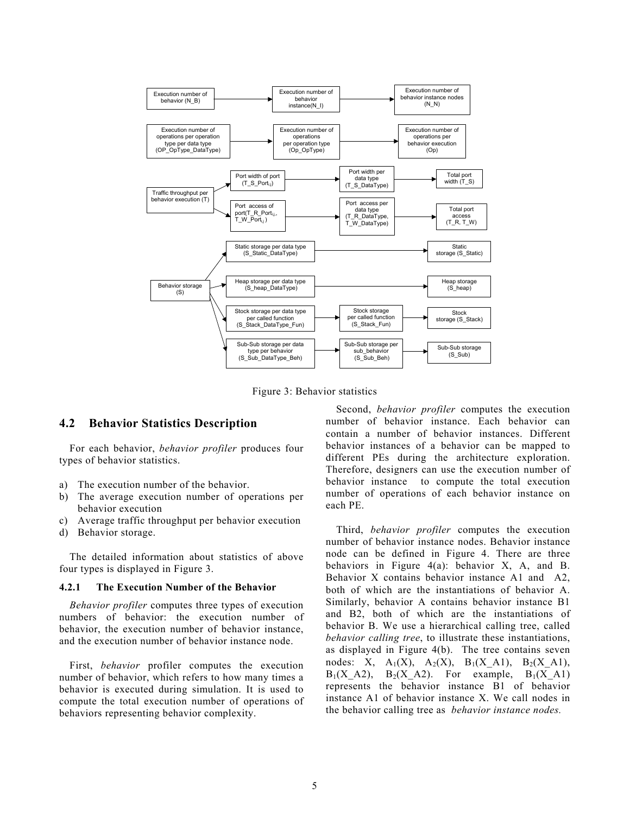<span id="page-7-2"></span>

Figure 3: Behavior statistics

#### <span id="page-7-0"></span>**4.2 Behavior Statistics Description**

For each behavior, *behavior profiler* produces four types of behavior statistics.

- a) The execution number of the behavior.
- b) The average execution number of operations per behavior execution
- c) Average traffic throughput per behavior execution
- d) Behavior storage.

The detailed information about statistics of above four types is displayed in [Figure 3.](#page-7-2)

#### <span id="page-7-1"></span>**4.2.1 The Execution Number of the Behavior**

*Behavior profiler* computes three types of execution numbers of behavior: the execution number of behavior, the execution number of behavior instance, and the execution number of behavior instance node.

First, *behavior* profiler computes the execution number of behavior, which refers to how many times a behavior is executed during simulation. It is used to compute the total execution number of operations of behaviors representing behavior complexity.

Second, *behavior profiler* computes the execution number of behavior instance. Each behavior can contain a number of behavior instances. Different behavior instances of a behavior can be mapped to different PEs during the architecture exploration. Therefore, designers can use the execution number of behavior instance to compute the total execution number of operations of each behavior instance on each PE.

Third, *behavior profiler* computes the execution number of behavior instance nodes. Behavior instance node can be defined in [Figure 4.](#page-8-1) There are three behaviors in [Figure 4\(](#page-8-1)a): behavior X, A, and B. Behavior X contains behavior instance A1 and A2, both of which are the instantiations of behavior A. Similarly, behavior A contains behavior instance B1 and B2, both of which are the instantiations of behavior B. We use a hierarchical calling tree, called *behavior calling tree*, to illustrate these instantiations, as displayed in Figure 4(b). The tree contains seven nodes: X,  $A_1(X)$ ,  $A_2(X)$ ,  $B_1(X_A1)$ ,  $B_2(X_A1)$ ,  $B_1(X \t A2)$ ,  $B_2(X \t A2)$ . For example,  $B_1(X \t A1)$ represents the behavior instance B1 of behavior instance A1 of behavior instance X. We call nodes in the behavior calling tree as *behavior instance nodes.*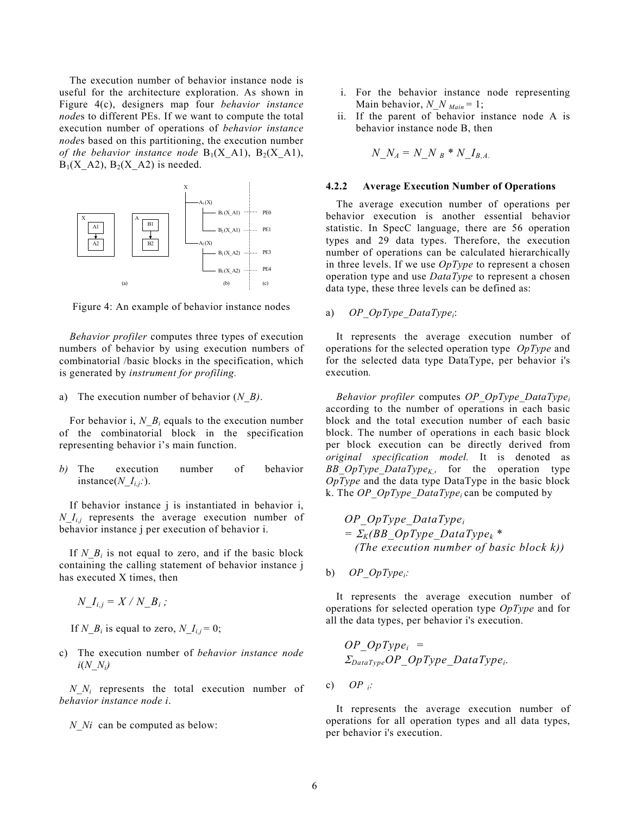The execution number of behavior instance node is useful for the architecture exploration. As shown in Figure 4(c), designers map four *behavior instance node*s to different PEs. If we want to compute the total execution number of operations of *behavior instance node*s based on this partitioning, the execution number *of the behavior instance node*  $B_1(X_A1)$ ,  $B_2(X_A1)$ ,  $B_1(X \text{ A2}), B_2(X \text{ A2})$  is needed.

<span id="page-8-1"></span>

Figure 4: An example of behavior instance nodes

*Behavior profiler* computes three types of execution numbers of behavior by using execution numbers of combinatorial /basic blocks in the specification, which is generated by *instrument for profiling.*

a) The execution number of behavior (*N\_B)*.

For behavior i,  $N_B$ <sub>i</sub> equals to the execution number of the combinatorial block in the specification representing behavior i's main function.

*b)* The execution number of behavior instance( $N$   $I_{i,i}$ :).

If behavior instance j is instantiated in behavior i, *N*  $I_{ij}$  represents the average execution number of behavior instance j per execution of behavior i.

If *N<sub>Bi</sub>* is not equal to zero, and if the basic block containing the calling statement of behavior instance j has executed X times, then

 $N_{\_}I_{i,j} = X / N_{\_}B_i;$ 

If *N\_B<sub>i</sub>* is equal to zero, *N\_I<sub>i,j</sub>* = 0;

c) The execution number of *behavior instance node i*(*N\_Ni)*

*N\_Ni* represents the total execution number of *behavior instance node i*.

*N Ni* can be computed as below:

- i. For the behavior instance node representing Main behavior, *N\_N <sub>Main</sub>* = 1;
- ii. If the parent of behavior instance node A is behavior instance node B, then

<span id="page-8-0"></span>
$$
N\_N_A = N\_N_B * N\_I_{B,A.}
$$

#### **4.2.2 Average Execution Number of Operations**

The average execution number of operations per behavior execution is another essential behavior statistic. In SpecC language, there are 56 operation types and 29 data types. Therefore, the execution number of operations can be calculated hierarchically in three levels. If we use *OpType* to represent a chosen operation type and use *DataType* to represent a chosen data type, these three levels can be defined as:

a) *OP\_OpType\_DataTypei*:

It represents the average execution number of operations for the selected operation type *OpType* and for the selected data type DataType, per behavior i's execution*.*

*Behavior profiler* computes *OP\_OpType\_DataTypei* according to the number of operations in each basic block and the total execution number of each basic block. The number of operations in each basic block per block execution can be directly derived from *original specification model.* It is denoted as *BB OpType DataType<sub>K</sub>*, for the operation type *OpType* and the data type DataType in the basic block k. The *OP\_OpType\_DataTypei* can be computed by

$$
OP\_{OpType\_{DataType_i}
$$
  
=  $\Sigma_K(BB\_{OpType\_{DataType_k}^*$   
(The execution number of basic block k))

b) *OP\_OpTypei:*

It represents the average execution number of operations for selected operation type *OpType* and for all the data types, per behavior i's execution.

$$
OP\_OpType_i = \newline \sum_{DataType} OP\_OpType\_DataType_i.
$$

c) *OP i:*

It represents the average execution number of operations for all operation types and all data types, per behavior i's execution.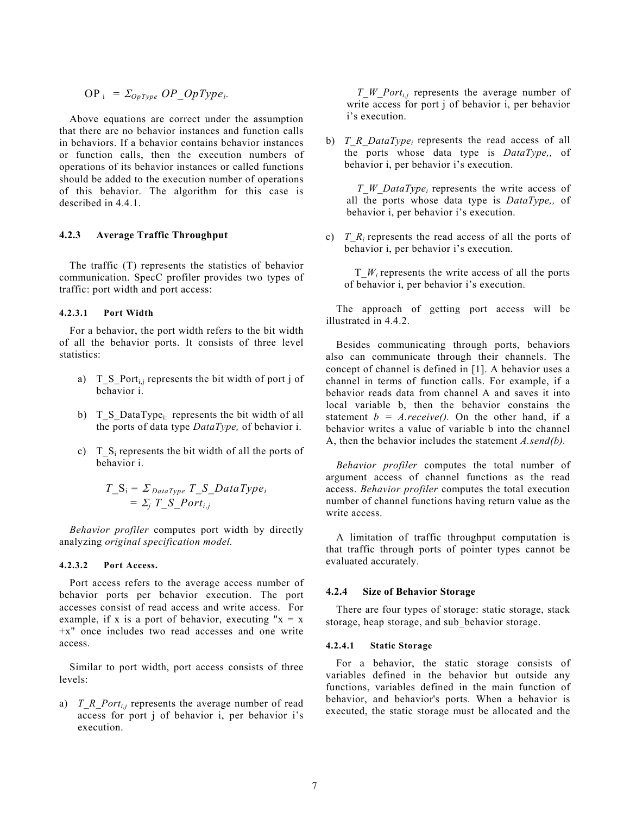$$
OP_i = \Sigma_{OpType} OP\_OpType_i.
$$

Above equations are correct under the assumption that there are no behavior instances and function calls in behaviors. If a behavior contains behavior instances or function calls, then the execution numbers of operations of its behavior instances or called functions should be added to the execution number of operations of this behavior. The algorithm for this case is described in 4.4.1.

#### <span id="page-9-0"></span>**4.2.3 Average Traffic Throughput**

The traffic (T) represents the statistics of behavior communication. SpecC profiler provides two types of traffic: port width and port access:

#### <span id="page-9-1"></span>**4.2.3.1 Port Width**

For a behavior, the port width refers to the bit width of all the behavior ports. It consists of three level statistics:

- a) T\_S\_Port<sub>i,j</sub> represents the bit width of port j of behavior i.
- b) T\_S\_DataType<sub>i</sub>: represents the bit width of all the ports of data type *DataType,* of behavior i.
- c) T  $S_i$  represents the bit width of all the ports of behavior i.

$$
T_{\_}S_i = \Sigma_{DataType} T_{\_}S_{\_}DataType_i
$$
  
=  $\Sigma_j T_{\_}S_{\_}Port_{i,j}$ 

*Behavior profiler* computes port width by directly analyzing *original specification model.*

#### <span id="page-9-2"></span>**4.2.3.2 Port Access.**

Port access refers to the average access number of behavior ports per behavior execution. The port accesses consist of read access and write access. For example, if x is a port of behavior, executing " $x = x$ +x" once includes two read accesses and one write access.

Similar to port width, port access consists of three levels:

a) *T\_R\_Port<sub>i,j</sub>* represents the average number of read access for port j of behavior i, per behavior i's execution.

*T\_W\_Porti,j* represents the average number of write access for port j of behavior i, per behavior i's execution.

b) *T\_R\_DataType<sub>i</sub>* represents the read access of all the ports whose data type is *DataType,,* of behavior i, per behavior i's execution.

*T\_W\_DataTypei* represents the write access of all the ports whose data type is *DataType,,* of behavior i, per behavior i's execution.

c) *T\_R<sub>i</sub>* represents the read access of all the ports of behavior i, per behavior i's execution.

T\_*Wi* represents the write access of all the ports of behavior i, per behavior i's execution.

The approach of getting port access will be illustrated in [4.4.2.](#page-13-0)

Besides communicating through ports, behaviors also can communicate through their channels. The concept of channel is defined in [1]. A behavior uses a channel in terms of function calls. For example, if a behavior reads data from channel A and saves it into local variable b, then the behavior constains the statement  $b = A$ *receive()*. On the other hand, if a behavior writes a value of variable b into the channel A, then the behavior includes the statement *A.send(b).*

*Behavior profiler* computes the total number of argument access of channel functions as the read access. *Behavior profiler* computes the total execution number of channel functions having return value as the write access.

A limitation of traffic throughput computation is that traffic through ports of pointer types cannot be evaluated accurately.

#### <span id="page-9-3"></span>**4.2.4 Size of Behavior Storage**

There are four types of storage: static storage, stack storage, heap storage, and sub\_behavior storage.

#### <span id="page-9-4"></span>**4.2.4.1 Static Storage**

For a behavior, the static storage consists of variables defined in the behavior but outside any functions, variables defined in the main function of behavior, and behavior's ports. When a behavior is executed, the static storage must be allocated and the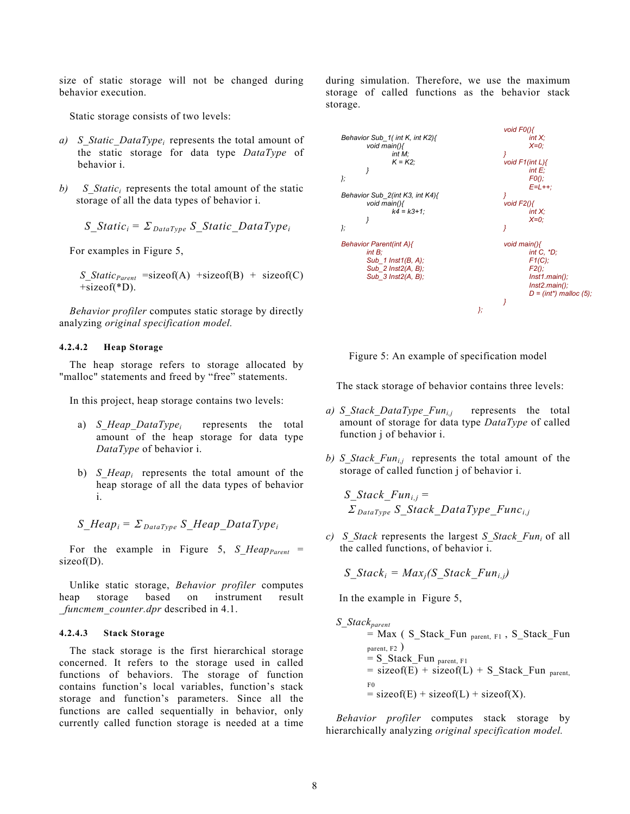size of static storage will not be changed during behavior execution.

Static storage consists of two levels:

- *a) S\_Static\_DataTypei* represents the total amount of the static storage for data type *DataType* of behavior i.
- *b*) *S Static<sub>i</sub>* represents the total amount of the static storage of all the data types of behavior i.

$$
S\_Static_i = \sum_{DataType} S\_Static\_DataType_i
$$

For examples in Figure 5,

*S\_Static<sub>Parent</sub>* =sizeof(A) +sizeof(B) + sizeof(C) +sizeof(\*D).

*Behavior profiler* computes static storage by directly analyzing *original specification model.*

#### <span id="page-10-0"></span>**4.2.4.2 Heap Storage**

The heap storage refers to storage allocated by "malloc" statements and freed by "free" statements.

In this project, heap storage contains two levels:

- a) *S\_Heap\_DataTypei* represents the total amount of the heap storage for data type *DataType* of behavior i.
- b) *S\_Heapi* represents the total amount of the heap storage of all the data types of behavior i.

$$
S_{\_}Heap_i = \Sigma_{\_DataType} S_{\_}Heap_{\_DataType_i}
$$

For the example in Figure  $5$ ,  $S_H =$  Heap<sub>Parent</sub> = sizeof(D).

Unlike static storage, *Behavior profiler* computes heap storage based on instrument result *\_funcmem\_counter.dpr* described in [4.1.](#page-6-2)

#### <span id="page-10-1"></span>**4.2.4.3 Stack Storage**

The stack storage is the first hierarchical storage concerned. It refers to the storage used in called functions of behaviors. The storage of function contains function's local variables, function's stack storage and function's parameters. Since all the functions are called sequentially in behavior, only currently called function storage is needed at a time during simulation. Therefore, we use the maximum storage of called functions as the behavior stack storage.

<span id="page-10-2"></span>



The stack storage of behavior contains three levels:

- *a) S\_Stack\_DataType\_Funi,j* represents the total amount of storage for data type *DataType* of called function j of behavior i.
- *b) S Stack Fun<sub>ij</sub>* represents the total amount of the storage of called function j of behavior i.

*S\_Stack\_Funi,j =* <sup>Σ</sup> *DataType S\_Stack\_DataType\_Funci,j*

*c) S\_Stack* represents the largest *S\_Stack\_Funi* of all the called functions, of behavior i.

*S\_Stack<sub>i</sub>* =  $Max_i(S$  *Stack Fun<sub>i,j</sub>)* 

In the example in Figure 5,

*S\_Stackparent*  $=$  Max ( S Stack Fun parent, F1, S Stack Fun parent, F2 )  $= S_S$ Stack\_Fun <sub>parent, F1</sub>  $=$  sizeof(E) + sizeof(L) + S Stack Fun parent. F0  $=$  sizeof(E) + sizeof(L) + sizeof(X).

*Behavior profiler* computes stack storage by hierarchically analyzing *original specification model.*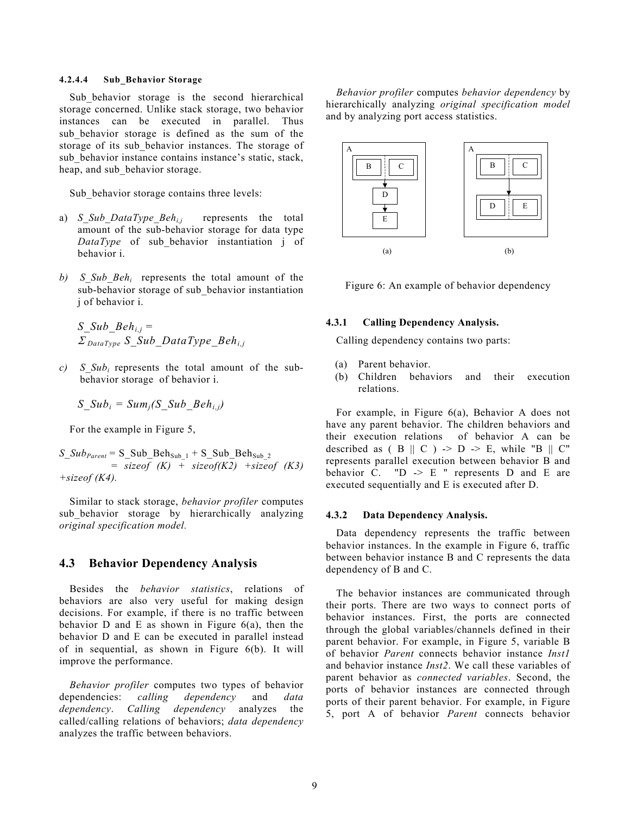#### <span id="page-11-0"></span>**4.2.4.4 Sub\_Behavior Storage**

Sub behavior storage is the second hierarchical storage concerned. Unlike stack storage, two behavior instances can be executed in parallel. Thus sub\_behavior storage is defined as the sum of the storage of its sub\_behavior instances. The storage of sub behavior instance contains instance's static, stack, heap, and sub behavior storage.

Sub behavior storage contains three levels:

- a) *S\_Sub\_DataType\_Behi,j* represents the total amount of the sub-behavior storage for data type *DataType* of sub\_behavior instantiation j of behavior i.
- *b) S\_Sub\_Behi* represents the total amount of the sub-behavior storage of sub\_behavior instantiation j of behavior i.

*S Sub*  $Beh_{i,j} =$ <sup>Σ</sup> *DataType S\_Sub\_DataType\_Behi,j*

*c) S*  $Sub_i$  represents the total amount of the subbehavior storage of behavior i.

$$
S\_Sub_i = Sum_j(S\_Sub\_Beh_{i,j})
$$

For the example in Figure 5,

*S*  $Sub_{Parent} = S_Sub_Beh_{Sub_1} + S_Sub_Beh_{Sub_2}$  = *sizeof (K) + sizeof(K2) +sizeof (K3) +sizeof (K4).*

Similar to stack storage, *behavior profiler* computes sub\_behavior storage by hierarchically analyzing *original specification model.*

#### <span id="page-11-1"></span>**4.3 Behavior Dependency Analysis**

Besides the *behavior statistics*, relations of behaviors are also very useful for making design decisions. For example, if there is no traffic between behavior D and E as shown in Figure  $6(a)$ , then the behavior D and E can be executed in parallel instead of in sequential, as shown in Figure 6(b). It will improve the performance.

*Behavior profiler* computes two types of behavior dependencies: *calling dependency* and *data dependency*. *Calling dependency* analyzes the called/calling relations of behaviors; *data dependency* analyzes the traffic between behaviors.

*Behavior profiler* computes *behavior dependency* by hierarchically analyzing *original specification model* and by analyzing port access statistics.

<span id="page-11-4"></span>

Figure 6: An example of behavior dependency

#### **4.3.1 Calling Dependency Analysis.**

<span id="page-11-2"></span>Calling dependency contains two parts:

- (a) Parent behavior.
- (b) Children behaviors and their execution relations.

For example, in Figure 6(a), Behavior A does not have any parent behavior. The children behaviors and their execution relations of behavior A can be described as  $(B \parallel C)$   $\geq D \geq E$ , while "B  $\parallel C$ " represents parallel execution between behavior B and behavior C.  $"D \rightharpoonup E"$  represents D and E are executed sequentially and E is executed after D.

#### <span id="page-11-3"></span>**4.3.2 Data Dependency Analysis.**

Data dependency represents the traffic between behavior instances. In the example in Figure 6, traffic between behavior instance B and C represents the data dependency of B and C.

The behavior instances are communicated through their ports. There are two ways to connect ports of behavior instances. First, the ports are connected through the global variables/channels defined in their parent behavior. For example, in Figure 5, variable B of behavior *Parent* connects behavior instance *Inst1* and behavior instance *Inst2*. We call these variables of parent behavior as *connected variables*. Second, the ports of behavior instances are connected through ports of their parent behavior. For example, in [Figure](#page-10-2) [5](#page-10-2), port A of behavior *Parent* connects behavior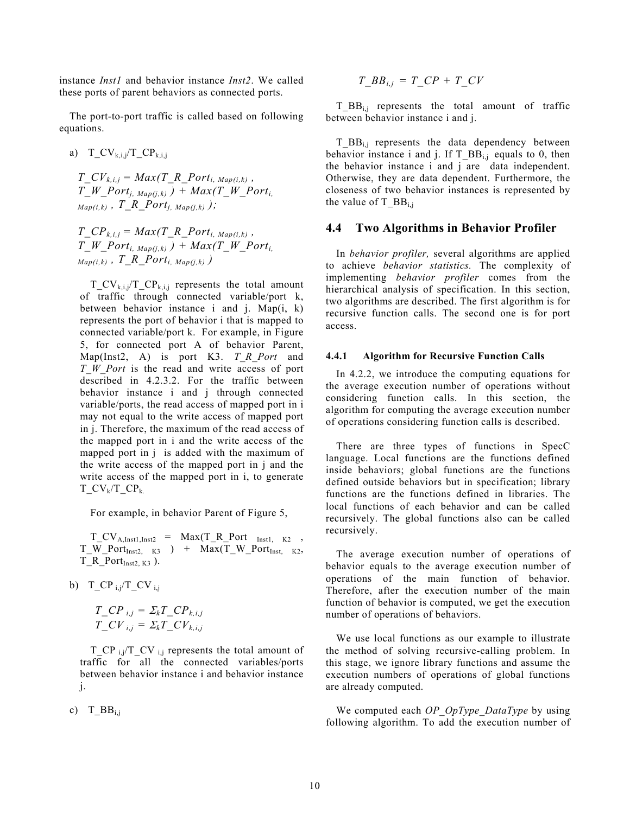instance *Inst1* and behavior instance *Inst2*. We called these ports of parent behaviors as connected ports.

The port-to-port traffic is called based on following equations.

a) T\_CV<sub>k,i,j</sub>/T\_CP<sub>k,i,j</sub>

*T\_CV<sub>k,i,j</sub> = Max(T\_R\_Port<sub>i, Map(i,k)* ,</sub>  $T_{\_W\_Port_{i, Map(i,k)}}$  +  $Max(T_{\_W\_Port_{i,k}})$  $Map(i,k)$ ,  $T$ <sup>R</sup>  $Port_{i, Map(i,k)}$  );

 $T\_CP_{k,i,j} = Max(T\_R\_Port_{i, Map(i,k)}$ , *T\_W\_Port<sub>i, Map(j,k) ) + Max(T\_W\_Port<sub>i,</sub>*</sub>  $Map(i,k)$ ,  $T_R$ *Port<sub>i, Map(j,k)*)</sub>

 $T_CV_{k,i,j}/T_CP_{k,i,j}$  represents the total amount of traffic through connected variable/port k, between behavior instance i and j. Map(i, k) represents the port of behavior i that is mapped to connected variable/port k. For example, in Figure 5, for connected port A of behavior Parent, Map(Inst2, A) is port K3. *T\_R\_Port* and *T\_W\_Port* is the read and write access of port described in 4.2.3.2. For the traffic between behavior instance i and j through connected variable/ports, the read access of mapped port in i may not equal to the write access of mapped port in j. Therefore, the maximum of the read access of the mapped port in i and the write access of the mapped port in j is added with the maximum of the write access of the mapped port in j and the write access of the mapped port in i, to generate  $TCV_k/TCP_k$ 

For example, in behavior Parent of Figure 5,

 $T_CV_{A,Inst1,Inst2}$  =  $Max(T_R_Port_{Inst1, K2}$ ,  $T_W_Port_{Inst2, K3}$  ) +  $Max(T_W_Port_{Inst, K2, K3})$ T\_R\_Port $I_{Inst2, K3}$  ).

b) T\_CP  $_{\rm i}$ j/T\_CV  $_{\rm ii}$ 

$$
T\_CP_{i,j} = \Sigma_k T\_CP_{k,i,j}
$$
  

$$
T\_CV_{i,j} = \Sigma_k T\_CV_{k,i,j}
$$

 $T_C$ P <sub>i,j</sub> $T_C$ V <sub>i,j</sub> represents the total amount of traffic for all the connected variables/ports between behavior instance i and behavior instance j.

c)  $T_BB_{i,j}$ 

$$
T\_BB_{i,j} = T\_CP + T\_CV
$$

 $T$  BB<sub>i,j</sub> represents the total amount of traffic between behavior instance i and j.

 $T_{\perp}BB_{i,j}$  represents the data dependency between behavior instance i and j. If T\_BB<sub>i,j</sub> equals to 0, then the behavior instance i and j are data independent. Otherwise, they are data dependent. Furthermore, the closeness of two behavior instances is represented by the value of  $T_{\_}BB_{i,j}$ 

#### <span id="page-12-0"></span>**4.4 Two Algorithms in Behavior Profiler**

In *behavior profiler,* several algorithms are applied to achieve *behavior statistics.* The complexity of implementing *behavior profiler* comes from the hierarchical analysis of specification. In this section, two algorithms are described. The first algorithm is for recursive function calls. The second one is for port access.

#### <span id="page-12-1"></span>**4.4.1 Algorithm for Recursive Function Calls**

In 4.2.2, we introduce the computing equations for the average execution number of operations without considering function calls. In this section, the algorithm for computing the average execution number of operations considering function calls is described.

There are three types of functions in SpecC language. Local functions are the functions defined inside behaviors; global functions are the functions defined outside behaviors but in specification; library functions are the functions defined in libraries. The local functions of each behavior and can be called recursively. The global functions also can be called recursively.

The average execution number of operations of behavior equals to the average execution number of operations of the main function of behavior. Therefore, after the execution number of the main function of behavior is computed, we get the execution number of operations of behaviors.

We use local functions as our example to illustrate the method of solving recursive-calling problem. In this stage, we ignore library functions and assume the execution numbers of operations of global functions are already computed.

We computed each *OP\_OpType\_DataType* by using following algorithm. To add the execution number of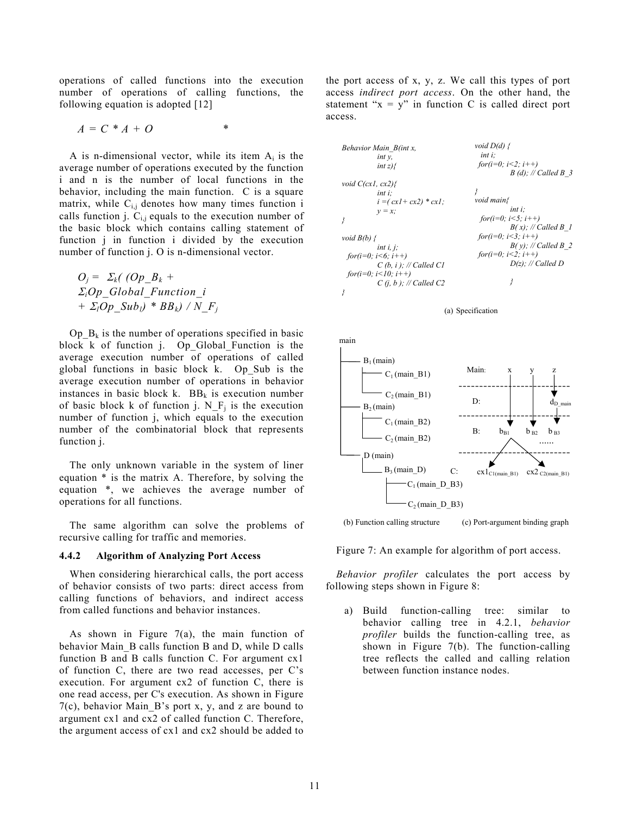operations of called functions into the execution number of operations of calling functions, the following equation is adopted [\[12\]](#page-19-4)

$$
A = C * A + O
$$

A is n-dimensional vector, while its item  $A_i$  is the average number of operations executed by the function i and n is the number of local functions in the behavior, including the main function. C is a square matrix, while  $C_{i,j}$  denotes how many times function i calls function j.  $C_{i,j}$  equals to the execution number of the basic block which contains calling statement of function j in function i divided by the execution number of function j. O is n-dimensional vector.

 $O_i = \sum_k ($  (Op  $B_k$  + <sup>Σ</sup>*iOp\_Global\_Function\_i +*  $\Sigma_l Op$   $Sub_l$ ) \*  $BB_k$ ) / N\_F<sub>i</sub>

 $Op_B_k$  is the number of operations specified in basic block k of function j. Op Global Function is the average execution number of operations of called global functions in basic block k. Op\_Sub is the average execution number of operations in behavior instances in basic block k.  $BB_k$  is execution number of basic block k of function j.  $N_F$  is the execution number of function j, which equals to the execution number of the combinatorial block that represents function j.

The only unknown variable in the system of liner equation \* is the matrix A. Therefore, by solving the equation \*, we achieves the average number of operations for all functions.

The same algorithm can solve the problems of recursive calling for traffic and memories.

#### <span id="page-13-0"></span>**4.4.2 Algorithm of Analyzing Port Access**

When considering hierarchical calls, the port access of behavior consists of two parts: direct access from calling functions of behaviors, and indirect access from called functions and behavior instances.

As shown in Figure 7(a), the main function of behavior Main\_B calls function B and D, while D calls function B and B calls function C. For argument cx1 of function C, there are two read accesses, per C's execution. For argument cx2 of function C, there is one read access, per C's execution. As shown in Figure 7(c), behavior Main\_B's port x, y, and z are bound to argument cx1 and cx2 of called function C. Therefore, the argument access of cx1 and cx2 should be added to

the port access of x, y, z. We call this types of port access *indirect port access*. On the other hand, the statement " $x = y$ " in function C is called direct port access.



(a) Specification

<span id="page-13-1"></span>

(b) Function calling structure (c) Port-argument binding graph

Figure 7: An example for algorithm of port access.

*Behavior profiler* calculates the port access by following steps shown in Figure 8:

a) Build function-calling tree: similar to behavior calling tree in [4.2.1,](#page-7-1) *behavior profiler* builds the function-calling tree, as shown in Figure 7(b). The function-calling tree reflects the called and calling relation between function instance nodes.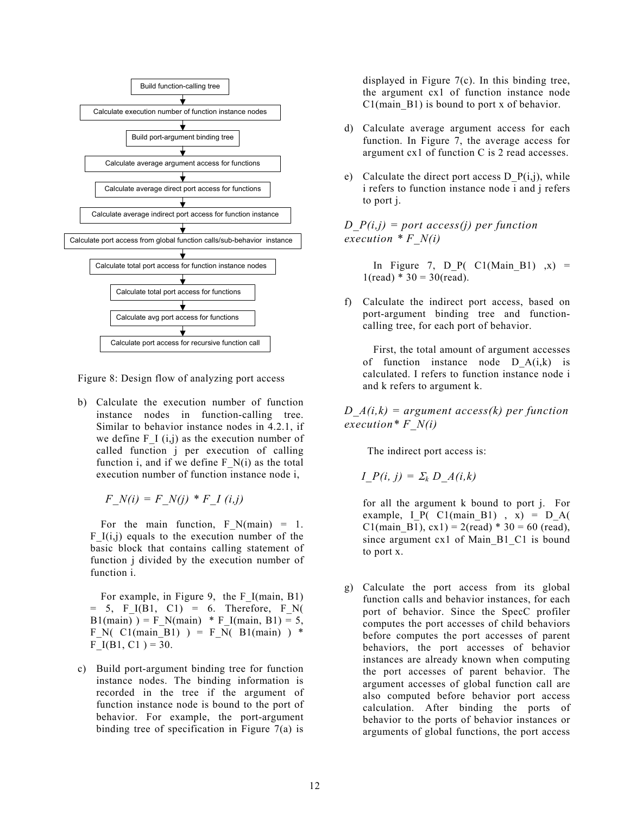<span id="page-14-0"></span>

Figure 8: Design flow of analyzing port access

b) Calculate the execution number of function instance nodes in function-calling tree. Similar to behavior instance nodes in [4.2.1,](#page-7-1) if we define  $F_{I}$  (i,j) as the execution number of called function j per execution of calling function i, and if we define  $F_N(i)$  as the total execution number of function instance node i,

$$
F_N(i) = F_N(j) * F_I(i,j)
$$

For the main function,  $F_N(\text{main}) = 1$ .  $F_{I(i,j)}$  equals to the execution number of the basic block that contains calling statement of function j divided by the execution number of function i.

For example, in Figure 9, the F I(main, B1)  $= 5$ , F I(B1, C1) = 6. Therefore, F N( B1(main) ) = F\_N(main) \* F\_I(main, B1) = 5, F\_N( C1(main B1) ) = F\_N( B1(main) ) \*  $F_I(B1, C1) = 30.$ 

c) Build port-argument binding tree for function instance nodes. The binding information is recorded in the tree if the argument of function instance node is bound to the port of behavior. For example, the port-argument binding tree of specification in Figure 7(a) is

displayed in Figure 7(c). In this binding tree, the argument cx1 of function instance node  $C1$ (main B1) is bound to port x of behavior.

- d) Calculate average argument access for each function. In Figure 7, the average access for argument cx1 of function C is 2 read accesses.
- e) Calculate the direct port access D  $P(i,j)$ , while i refers to function instance node i and j refers to port j.

*D\_P(i,j) = port access(j) per function execution \* F\_N(i)*

In Figure 7, D P( C1(Main B1)  $\mathbf{x}$ ) =  $1(\text{read}) * 30 = 30(\text{read})$ .

f) Calculate the indirect port access, based on port-argument binding tree and functioncalling tree, for each port of behavior.

First, the total amount of argument accesses of function instance node  $D_A(i,k)$  is calculated. I refers to function instance node i and k refers to argument k.

*D\_A(i,k) = argument access(k) per function execution\* F\_N(i)*

The indirect port access is:

$$
I_{\_}P(i, j) = \Sigma_k D_{\_}A(i, k)
$$

for all the argument k bound to port j. For example,  $I_P$ ( C1(main\_B1), x) =  $D_A$ ( C1(main\_B1),  $cx1$ ) = 2(read) \* 30 = 60 (read), since argument cx1 of Main B1 C1 is bound to port x.

g) Calculate the port access from its global function calls and behavior instances, for each port of behavior. Since the SpecC profiler computes the port accesses of child behaviors before computes the port accesses of parent behaviors, the port accesses of behavior instances are already known when computing the port accesses of parent behavior. The argument accesses of global function call are also computed before behavior port access calculation. After binding the ports of behavior to the ports of behavior instances or arguments of global functions, the port access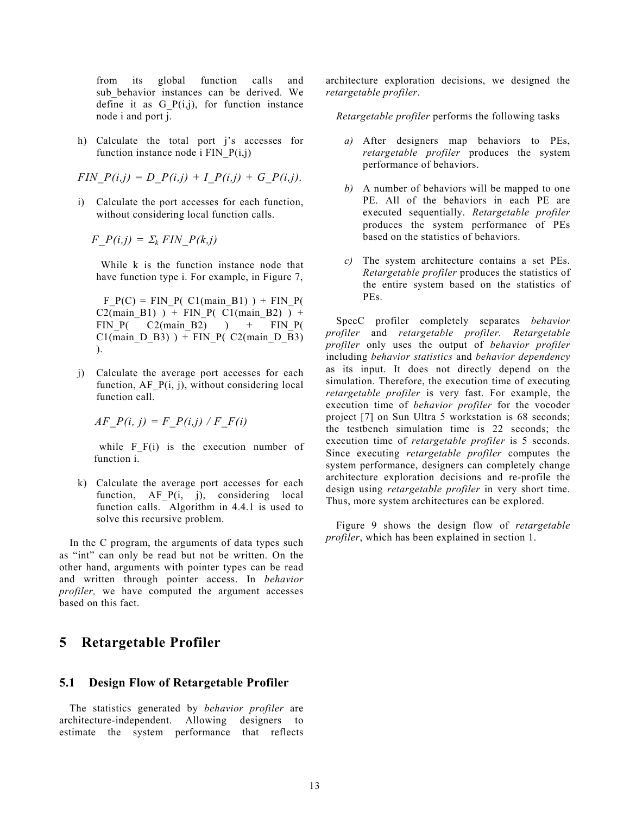from its global function calls and sub\_behavior instances can be derived. We define it as  $G_P(i,j)$ , for function instance node i and port j.

h) Calculate the total port j's accesses for function instance node i FIN  $P(i,j)$ 

$$
FIN_{-}P(i,j) = D_{-}P(i,j) + I_{-}P(i,j) + G_{-}P(i,j).
$$

i) Calculate the port accesses for each function, without considering local function calls.

 $F_P(i,j) = \sum_k FIN_P(k,j)$ 

While k is the function instance node that have function type i. For example, in Figure 7,

 $F P(C) = FIN P(C1(main B1)) + FIN P($ C2(main B1) ) + FIN P( C1(main B2) ) + FIN  $P($  C2(main B2) ) + FIN  $P($  $Cl(main_D_B3)$  ) + FIN\_P( $C2(main_D_B3)$ ) ).

j) Calculate the average port accesses for each function,  $AF$   $P(i, j)$ , without considering local function call.

*AF\_P(i, j) = F\_P(i,j) / F\_F(i)* 

while  $F(F(i))$  is the execution number of function i.

k) Calculate the average port accesses for each function, AF<sub>P(i, j)</sub>, considering local function calls. Algorithm in [4.4.1](#page-12-1) is used to solve this recursive problem.

In the C program, the arguments of data types such as "int" can only be read but not be written. On the other hand, arguments with pointer types can be read and written through pointer access. In *behavior profiler,* we have computed the argument accesses based on this fact.

## <span id="page-15-0"></span>**5 Retargetable Profiler**

#### <span id="page-15-1"></span>**5.1 Design Flow of Retargetable Profiler**

The statistics generated by *behavior profiler* are architecture-independent. Allowing designers to estimate the system performance that reflects architecture exploration decisions, we designed the *retargetable profiler*.

*Retargetable profiler* performs the following tasks

- *a)* After designers map behaviors to PEs, *retargetable profiler* produces the system performance of behaviors.
- *b)* A number of behaviors will be mapped to one PE. All of the behaviors in each PE are executed sequentially. *Retargetable profiler* produces the system performance of PEs based on the statistics of behaviors.
- *c)* The system architecture contains a set PEs. *Retargetable profiler* produces the statistics of the entire system based on the statistics of PEs.

SpecC profiler completely separates *behavior profiler* and *retargetable profiler. Retargetable profiler* only uses the output of *behavior profiler* including *behavior statistics* and *behavior dependency* as its input. It does not directly depend on the simulation. Therefore, the execution time of executing *retargetable profiler* is very fast. For example, the execution time of *behavior profiler* for the vocoder project [7] on Sun Ultra 5 workstation is 68 seconds; the testbench simulation time is 22 seconds; the execution time of *retargetable profiler* is 5 seconds. Since executing *retargetable profiler* computes the system performance, designers can completely change architecture exploration decisions and re-profile the design using *retargetable profiler* in very short time. Thus, more system architectures can be explored.

Figure 9 shows the design flow of *retargetable profiler*, which has been explained in section 1.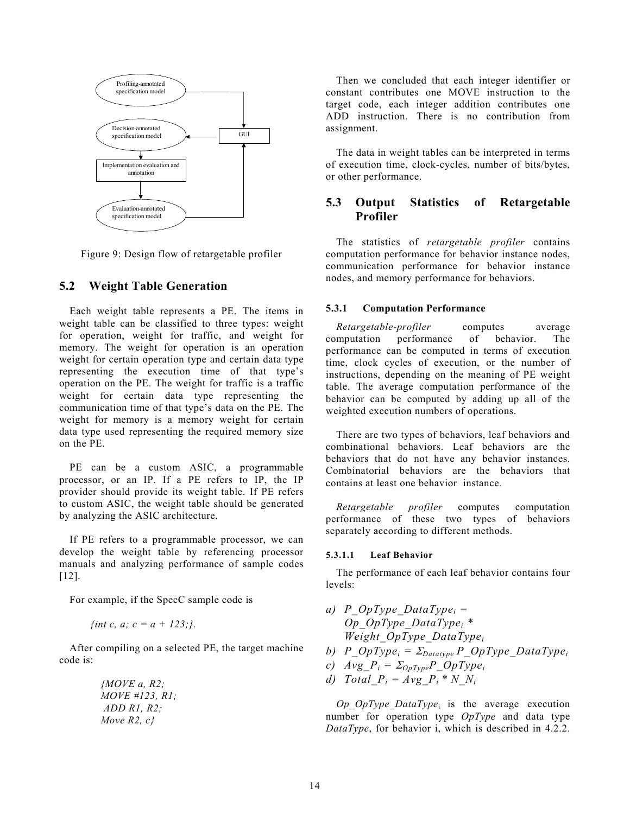<span id="page-16-4"></span>

Figure 9: Design flow of retargetable profiler

#### <span id="page-16-0"></span>**5.2 Weight Table Generation**

Each weight table represents a PE. The items in weight table can be classified to three types: weight for operation, weight for traffic, and weight for memory. The weight for operation is an operation weight for certain operation type and certain data type representing the execution time of that type's operation on the PE. The weight for traffic is a traffic weight for certain data type representing the communication time of that type's data on the PE. The weight for memory is a memory weight for certain data type used representing the required memory size on the PE.

PE can be a custom ASIC, a programmable processor, or an IP. If a PE refers to IP, the IP provider should provide its weight table. If PE refers to custom ASIC, the weight table should be generated by analyzing the ASIC architecture.

If PE refers to a programmable processor, we can develop the weight table by referencing processor manuals and analyzing performance of sample codes [12].

For example, if the SpecC sample code is

$$
\{int c, a; c = a + 123.\}.
$$

After compiling on a selected PE, the target machine code is:

> *{MOVE a, R2; MOVE #123, R1; ADD R1, R2; Move R2, c}*

Then we concluded that each integer identifier or constant contributes one MOVE instruction to the target code, each integer addition contributes one ADD instruction. There is no contribution from assignment.

The data in weight tables can be interpreted in terms of execution time, clock-cycles, number of bits/bytes, or other performance.

#### <span id="page-16-1"></span>**5.3 Output Statistics of Retargetable Profiler**

The statistics of *retargetable profiler* contains computation performance for behavior instance nodes, communication performance for behavior instance nodes, and memory performance for behaviors.

#### <span id="page-16-2"></span>**5.3.1 Computation Performance**

*Retargetable-profiler* computes average computation performance of behavior. The performance can be computed in terms of execution time, clock cycles of execution, or the number of instructions, depending on the meaning of PE weight table. The average computation performance of the behavior can be computed by adding up all of the weighted execution numbers of operations.

There are two types of behaviors, leaf behaviors and combinational behaviors. Leaf behaviors are the behaviors that do not have any behavior instances. Combinatorial behaviors are the behaviors that contains at least one behavior instance.

*Retargetable profiler* computes computation performance of these two types of behaviors separately according to different methods.

#### <span id="page-16-3"></span>**5.3.1.1 Leaf Behavior**

The performance of each leaf behavior contains four levels:

- *a) P\_OpType\_DataTypei = Op\_OpType\_DataTypei \* Weight\_OpType\_DataTypei*
- *b)*  $P \_OpType_i = \sum_{Database} P \_OpType\_DataType_i$
- *c)*  $Avg_{\_}P_i = \Sigma_{OpType}P_{\_}OpType_i$
- *d) Total*  $P_i = Avg \t P_i * N \t N_i$

*Op\_OpType\_DataType*i is the average execution number for operation type *OpType* and data type *DataType*, for behavior i, which is described in 4.2.2.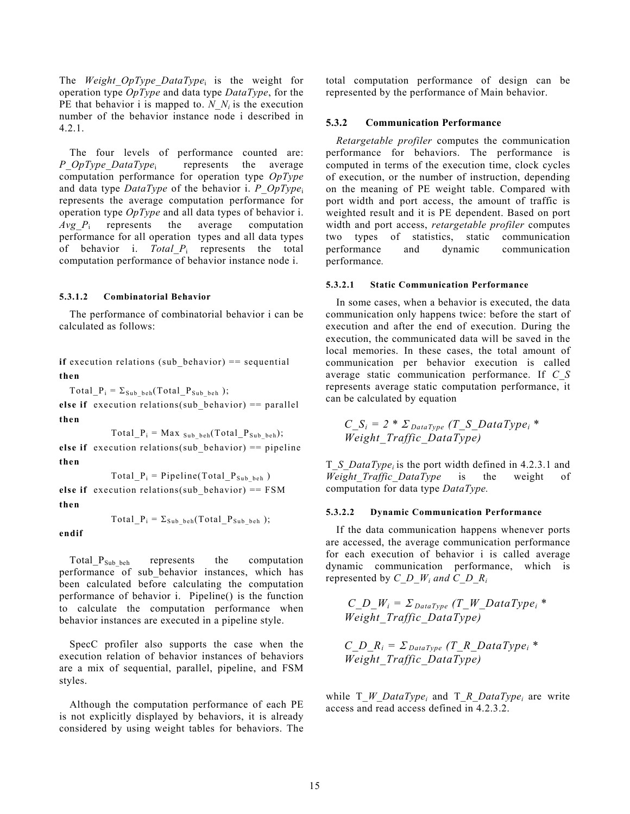The *Weight\_OpType\_DataType*i is the weight for operation type *OpType* and data type *DataType*, for the PE that behavior i is mapped to. *N\_N<sub>i</sub>* is the execution number of the behavior instance node i described in 4.2.1.

The four levels of performance counted are: *P\_OpType\_DataType*<sup>i</sup> represents the average computation performance for operation type *OpType* and data type *DataType* of the behavior i. *P\_OpType*<sup>i</sup> represents the average computation performance for operation type *OpType* and all data types of behavior i. *Avg*<sub>*P*i</sub> represents the average computation performance for all operation types and all data types of behavior i. *Total\_P*<sup>i</sup> represents the total computation performance of behavior instance node i.

#### <span id="page-17-0"></span>**5.3.1.2 Combinatorial Behavior**

The performance of combinatorial behavior i can be calculated as follows:

**if** execution relations (sub behavior) == sequential **then**

 $Total_P_i = \Sigma_{Sub\_beh}(Total_P_{Sub\_beh})$ ;

**else if** execution relations(sub behavior)  $==$  parallel **then**

 $Total_P_i = Max_{Sub_beh}(Total_P_{Sub_beh});$ 

**else if** execution relations(sub behavior)  $==$  pipeline **then**

 $Total_P_i = Pipeline(Total_P<sub>Subbeh</sub>)$ 

**else if** execution relations(sub behavior) ==  $FSM$ **then**

 $Total_P_i = \Sigma_{Sub-beh} (Total_P_{Sub-beh})$ ;

**endif**

Total  $P_{Sub\;beh}$  represents the computation performance of sub\_behavior instances, which has been calculated before calculating the computation performance of behavior i. Pipeline() is the function to calculate the computation performance when behavior instances are executed in a pipeline style.

SpecC profiler also supports the case when the execution relation of behavior instances of behaviors are a mix of sequential, parallel, pipeline, and FSM styles.

Although the computation performance of each PE is not explicitly displayed by behaviors, it is already considered by using weight tables for behaviors. The total computation performance of design can be represented by the performance of Main behavior.

#### <span id="page-17-1"></span>**5.3.2 Communication Performance**

*Retargetable profiler* computes the communication performance for behaviors. The performance is computed in terms of the execution time, clock cycles of execution, or the number of instruction, depending on the meaning of PE weight table. Compared with port width and port access, the amount of traffic is weighted result and it is PE dependent. Based on port width and port access, *retargetable profiler* computes two types of statistics, static communication performance and dynamic communication performance*.*

#### <span id="page-17-2"></span>**5.3.2.1 Static Communication Performance**

In some cases, when a behavior is executed, the data communication only happens twice: before the start of execution and after the end of execution. During the execution, the communicated data will be saved in the local memories. In these cases, the total amount of communication per behavior execution is called average static communication performance. If *C\_S* represents average static computation performance, it can be calculated by equation

$$
C_S_i = 2 * \Sigma_{DataType} (T_S_DataType_i *
$$
  
Weight\_Traffic\_DataType)

T\_*S\_DataTypei* is the port width defined in [4.2.3.1](#page-9-1) and *Weight\_Traffic\_DataType* is the weight of computation for data type *DataType.*

#### <span id="page-17-3"></span>**5.3.2.2 Dynamic Communication Performance**

If the data communication happens whenever ports are accessed, the average communication performance for each execution of behavior i is called average dynamic communication performance, which is represented by  $C$   $D$   $W_i$  and  $C$   $D$   $R_i$ 

 $C\_D\_W_i = \sum_{DataType} (T\_W\_DataType_i *$ *Weight\_Traffic\_DataType)*

*C\_D\_R<sub>i</sub>* =  $\sum_{DataType} (T_R_DataType_i *$ *Weight\_Traffic\_DataType)* 

while T *W* DataType<sub>i</sub> and T *R* DataType<sub>i</sub> are write access and read access defined in [4.2.3.2.](#page-9-2)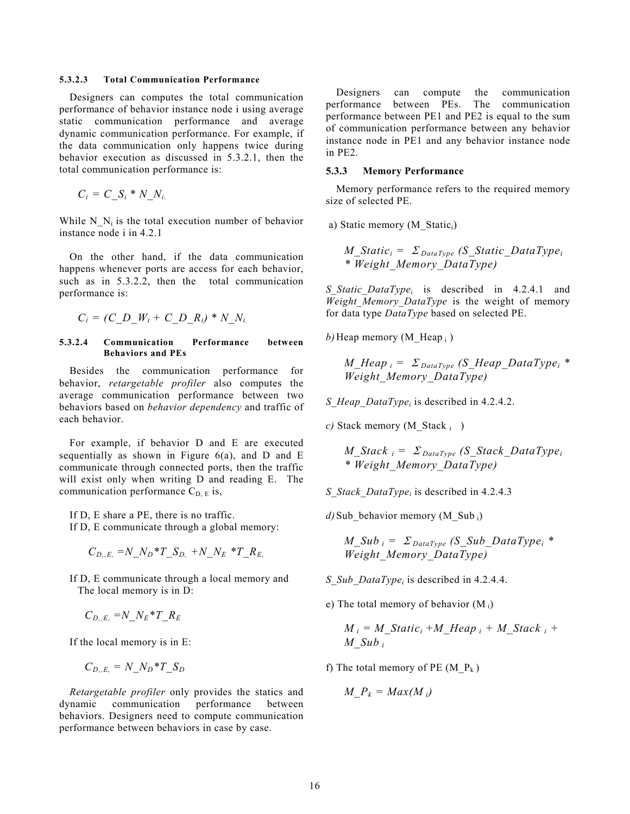#### <span id="page-18-0"></span>**5.3.2.3 Total Communication Performance**

Designers can computes the total communication performance of behavior instance node i using average static communication performance and average dynamic communication performance. For example, if the data communication only happens twice during behavior execution as discussed in 5.3.2.1, then the total communication performance is:

 $C_i = C_S_i * N_N_i$ 

While N<sub>Ni</sub> is the total execution number of behavior instance node i in 4.2.1

On the other hand, if the data communication happens whenever ports are access for each behavior, such as in 5.3.2.2, then the total communication performance is:

<span id="page-18-1"></span>
$$
C_i = (C\_D\_W_i + C\_D\_R_i) * N\_N_i.
$$

#### **5.3.2.4 Communication Performance between Behaviors and PEs**

Besides the communication performance behavior, *retargetable profiler* also computes the average communication performance between two behaviors based on *behavior dependency* and traffic of each behavior.

For example, if behavior D and E are executed sequentially as shown in Figure  $6(a)$ , and D and E communicate through connected ports, then the traffic will exist only when writing D and reading E. The communication performance  $C_{D, E}$  is,

If D, E share a PE, there is no traffic.

If D, E communicate through a global memory:

$$
C_{D.,E.} = N\_N_D * T\_S_{D.} + N\_N_E * T\_R_E,
$$

If D, E communicate through a local memory and The local memory is in D:

$$
C_{D,,E.} = N_{-}N_{E} \cdot T_{-}R_{E}
$$

If the local memory is in E:

$$
C_{D,,E.} = N\_N_D * T\_S_D
$$

*Retargetable profiler* only provides the statics and dynamic communication performance between behaviors. Designers need to compute communication performance between behaviors in case by case.

Designers can compute the communication performance between PEs. The communication performance between PE1 and PE2 is equal to the sum of communication performance between any behavior instance node in PE1 and any behavior instance node in PE2.

#### <span id="page-18-2"></span>**5.3.3 Memory Performance**

Memory performance refers to the required memory size of selected PE.

a) Static memory (M\_Statici)

*M\_Statici =* Σ *DataType (S\_Static\_DataTypei \* Weight\_Memory\_DataType)*

*S\_Static\_DataTypei* is described in [4.2.4.1](#page-9-4) and *Weight\_Memory\_DataType* is the weight of memory for data type *DataType* based on selected PE.

*b*) Heap memory (M Heap i)

$$
M_H = \Sigma_{DataType} (S_H = DataType)^{*}
$$
  
Weight Memory DataType)

*S\_Heap\_DataTypei* is described in [4.2.4.2.](#page-10-0)

*c*) Stack memory (M\_Stack i )

*M\_Stack i =* Σ *DataType (S\_Stack\_DataTypei \* Weight\_Memory\_DataType)*

*S\_Stack\_DataTypei* is described in [4.2.4.3](#page-10-1)

*d*) Sub behavior memory (M\_Sub i)

*M\_Sub i =* Σ *DataType (S\_Sub\_DataTypei \* Weight\_Memory\_DataType)*

- *S\_Sub\_DataTypei* is described in [4.2.4.4.](#page-11-0)
- e) The total memory of behavior  $(M_i)$

$$
M_i = M_{\text{.}}Static_i + M_{\text{.}}Heap_i + M_{\text{.}}Stack_i + M_{\text{.}}Sub_i
$$

f) The total memory of PE  $(M_P_k)$ 

$$
M_{\perp}P_k = Max(M_i)
$$